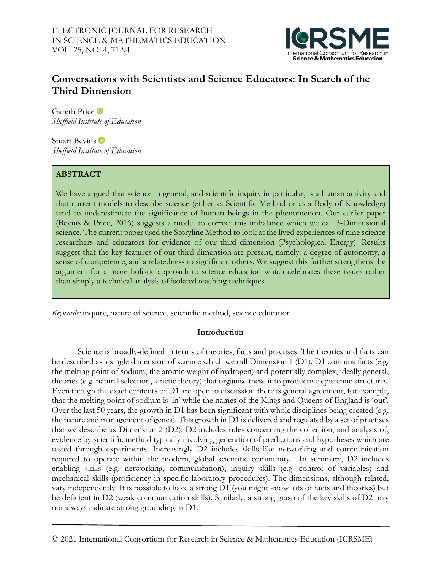

# **Conversations with Scientists and Science Educators: In Search of the Third Dimension**

GarethPrice *Sheffield Institute of Education*

Stuart Bevins<sup>tip</sup> *Sheffield Institute of Education*

## **ABSTRACT**

We have argued that science in general, and scientific inquiry in particular, is a human activity and that current models to describe science (either as Scientific Method or as a Body of Knowledge) tend to underestimate the significance of human beings in the phenomenon. Our earlier paper (Bevins & Price, 2016) suggests a model to correct this imbalance which we call 3-Dimensional science. The current paper used the Storyline Method to look at the lived experiences of nine science researchers and educators for evidence of our third dimension (Psychological Energy). Results suggest that the key features of our third dimension are present, namely: a degree of autonomy, a sense of competence, and a relatedness to significant others. We suggest this further strengthens the argument for a more holistic approach to science education which celebrates these issues rather than simply a technical analysis of isolated teaching techniques.

*Keywords:* inquiry, nature of science, scientific method, science education

## **Introduction**

Science is broadly-defined in terms of theories, facts and practises. The theories and facts can be described as a single dimension of science which we call Dimension 1 (D1). D1 contains facts (e.g. the melting point of sodium, the atomic weight of hydrogen) and potentially complex, ideally general, theories (e.g. natural selection, kinetic theory) that organise these into productive epistemic structures. Even though the exact contents of D1 are open to discussion there is general agreement, for example, that the melting point of sodium is 'in' while the names of the Kings and Queens of England is 'out'. Over the last 50 years, the growth in D1 has been significant with whole disciplines being created (e.g. the nature and management of genes). This growth in D1 is delivered and regulated by a set of practises that we describe as Dimension 2 (D2). D2 includes rules concerning the collection, and analysis of, evidence by scientific method typically involving generation of predictions and hypotheses which are tested through experiments. Increasingly D2 includes skills like networking and communication required to operate within the modern, global scientific community. In summary, D2 includes enabling skills (e.g. networking, communication), inquiry skills (e.g. control of variables) and mechanical skills (proficiency in specific laboratory procedures). The dimensions, although related, vary independently. It is possible to have a strong D1 (you might know lots of facts and theories) but be deficient in D2 (weak communication skills). Similarly, a strong grasp of the key skills of D2 may not always indicate strong grounding in D1.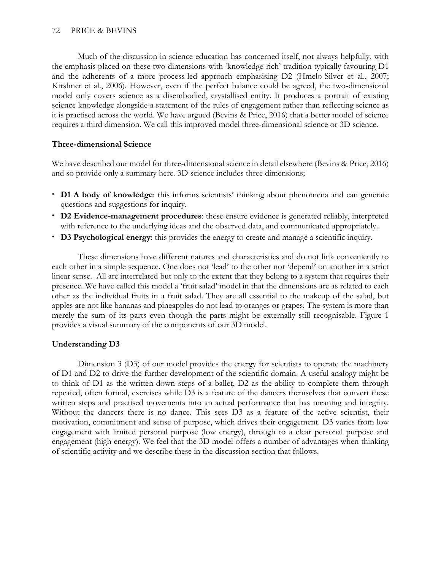Much of the discussion in science education has concerned itself, not always helpfully, with the emphasis placed on these two dimensions with 'knowledge-rich' tradition typically favouring D1 and the adherents of a more process-led approach emphasising D2 (Hmelo-Silver et al., 2007; Kirshner et al., 2006). However, even if the perfect balance could be agreed, the two-dimensional model only covers science as a disembodied, crystallised entity. It produces a portrait of existing science knowledge alongside a statement of the rules of engagement rather than reflecting science as it is practised across the world. We have argued (Bevins & Price, 2016) that a better model of science requires a third dimension. We call this improved model three-dimensional science or 3D science.

## **Three-dimensional Science**

We have described our model for three-dimensional science in detail elsewhere (Bevins & Price, 2016) and so provide only a summary here. 3D science includes three dimensions;

- **D1 A body of knowledge**: this informs scientists' thinking about phenomena and can generate questions and suggestions for inquiry.
- **D2 Evidence-management procedures**: these ensure evidence is generated reliably, interpreted with reference to the underlying ideas and the observed data, and communicated appropriately.
- **D3 Psychological energy**: this provides the energy to create and manage a scientific inquiry.

These dimensions have different natures and characteristics and do not link conveniently to each other in a simple sequence. One does not 'lead' to the other nor 'depend' on another in a strict linear sense. All are interrelated but only to the extent that they belong to a system that requires their presence. We have called this model a 'fruit salad' model in that the dimensions are as related to each other as the individual fruits in a fruit salad. They are all essential to the makeup of the salad, but apples are not like bananas and pineapples do not lead to oranges or grapes. The system is more than merely the sum of its parts even though the parts might be externally still recognisable. Figure 1 provides a visual summary of the components of our 3D model.

## **Understanding D3**

Dimension 3 (D3) of our model provides the energy for scientists to operate the machinery of D1 and D2 to drive the further development of the scientific domain. A useful analogy might be to think of D1 as the written-down steps of a ballet, D2 as the ability to complete them through repeated, often formal, exercises while D3 is a feature of the dancers themselves that convert these written steps and practised movements into an actual performance that has meaning and integrity. Without the dancers there is no dance. This sees D3 as a feature of the active scientist, their motivation, commitment and sense of purpose, which drives their engagement. D3 varies from low engagement with limited personal purpose (low energy), through to a clear personal purpose and engagement (high energy). We feel that the 3D model offers a number of advantages when thinking of scientific activity and we describe these in the discussion section that follows.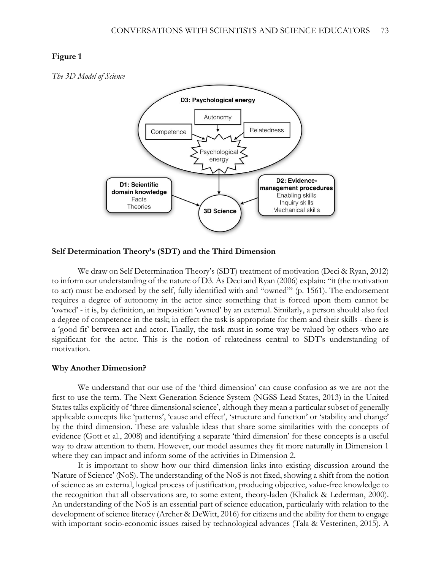*The 3D Model of Science*



### **Self Determination Theory's (SDT) and the Third Dimension**

We draw on Self Determination Theory's (SDT) treatment of motivation (Deci & Ryan, 2012) to inform our understanding of the nature of D3. As Deci and Ryan (2006) explain: "it (the motivation to act) must be endorsed by the self, fully identified with and "owned"' (p. 1561). The endorsement requires a degree of autonomy in the actor since something that is forced upon them cannot be 'owned' - it is, by definition, an imposition 'owned' by an external. Similarly, a person should also feel a degree of competence in the task; in effect the task is appropriate for them and their skills - there is a 'good fit' between act and actor. Finally, the task must in some way be valued by others who are significant for the actor. This is the notion of relatedness central to SDT's understanding of motivation.

#### **Why Another Dimension?**

We understand that our use of the 'third dimension' can cause confusion as we are not the first to use the term. The Next Generation Science System (NGSS Lead States, 2013) in the United States talks explicitly of 'three dimensional science', although they mean a particular subset of generally applicable concepts like 'patterns', 'cause and effect', 'structure and function' or 'stability and change' by the third dimension. These are valuable ideas that share some similarities with the concepts of evidence (Gott et al., 2008) and identifying a separate 'third dimension' for these concepts is a useful way to draw attention to them. However, our model assumes they fit more naturally in Dimension 1 where they can impact and inform some of the activities in Dimension 2.

It is important to show how our third dimension links into existing discussion around the 'Nature of Science' (NoS). The understanding of the NoS is not fixed, showing a shift from the notion of science as an external, logical process of justification, producing objective, value-free knowledge to the recognition that all observations are, to some extent, theory-laden (Khalick & Lederman, 2000). An understanding of the NoS is an essential part of science education, particularly with relation to the development of science literacy (Archer & DeWitt, 2016) for citizens and the ability for them to engage with important socio-economic issues raised by technological advances (Tala & Vesterinen, 2015). A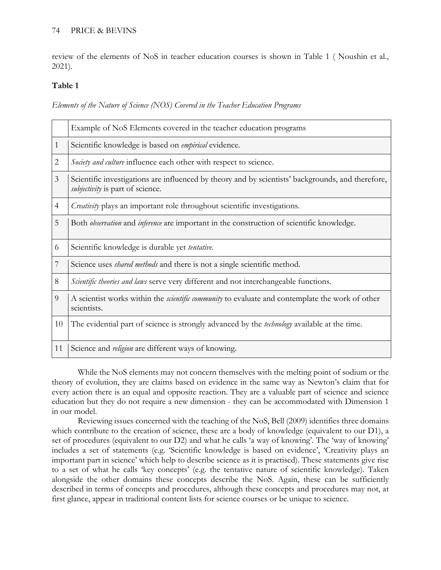## 74 PRICE & BEVINS

review of the elements of NoS in teacher education courses is shown in Table 1 ( Noushin et al*.*, 2021).

## **Table 1**

*Elements of the Nature of Science (NOS) Covered in the Teacher Education Programs*

|                | Example of NoS Elements covered in the teacher education programs                                                                            |  |  |
|----------------|----------------------------------------------------------------------------------------------------------------------------------------------|--|--|
| 1              | Scientific knowledge is based on <i>empirical</i> evidence.                                                                                  |  |  |
| 2              | Society and culture influence each other with respect to science.                                                                            |  |  |
| $\mathfrak{Z}$ | Scientific investigations are influenced by theory and by scientists' backgrounds, and therefore,<br><i>subjectivity</i> is part of science. |  |  |
| 4              | <i>Creativity</i> plays an important role throughout scientific investigations.                                                              |  |  |
| 5              | Both <i>observation</i> and <i>inference</i> are important in the construction of scientific knowledge.                                      |  |  |
| 6              | Scientific knowledge is durable yet tentative.                                                                                               |  |  |
| 7              | Science uses <i>shared methods</i> and there is not a single scientific method.                                                              |  |  |
| 8              | Scientific theories and laws serve very different and not interchangeable functions.                                                         |  |  |
| 9              | A scientist works within the <i>scientific community</i> to evaluate and contemplate the work of other<br>scientists.                        |  |  |
| 10             | The evidential part of science is strongly advanced by the <i>technology</i> available at the time.                                          |  |  |
| 11             | Science and <i>religion</i> are different ways of knowing.                                                                                   |  |  |

While the NoS elements may not concern themselves with the melting point of sodium or the theory of evolution, they are claims based on evidence in the same way as Newton's claim that for every action there is an equal and opposite reaction. They are a valuable part of science and science education but they do not require a new dimension - they can be accommodated with Dimension 1 in our model.

Reviewing issues concerned with the teaching of the NoS, Bell (2009) identifies three domains which contribute to the creation of science, these are a body of knowledge (equivalent to our D1), a set of procedures (equivalent to our D2) and what he calls 'a way of knowing'. The 'way of knowing' includes a set of statements (e.g. 'Scientific knowledge is based on evidence', 'Creativity plays an important part in science' which help to describe science as it is practised). These statements give rise to a set of what he calls 'key concepts' (e.g. the tentative nature of scientific knowledge). Taken alongside the other domains these concepts describe the NoS. Again, these can be sufficiently described in terms of concepts and procedures, although these concepts and procedures may not, at first glance, appear in traditional content lists for science courses or be unique to science.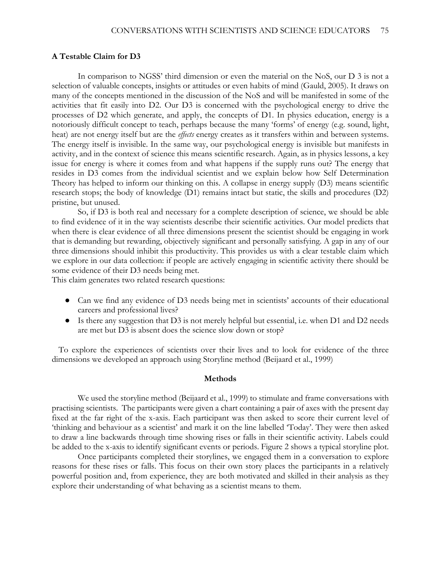### **A Testable Claim for D3**

In comparison to NGSS' third dimension or even the material on the NoS, our D 3 is not a selection of valuable concepts, insights or attitudes or even habits of mind (Gauld, 2005). It draws on many of the concepts mentioned in the discussion of the NoS and will be manifested in some of the activities that fit easily into D2. Our D3 is concerned with the psychological energy to drive the processes of D2 which generate, and apply, the concepts of D1. In physics education, energy is a notoriously difficult concept to teach, perhaps because the many 'forms' of energy (e.g. sound, light, heat) are not energy itself but are the *effects* energy creates as it transfers within and between systems. The energy itself is invisible. In the same way, our psychological energy is invisible but manifests in activity, and in the context of science this means scientific research. Again, as in physics lessons, a key issue for energy is where it comes from and what happens if the supply runs out? The energy that resides in D3 comes from the individual scientist and we explain below how Self Determination Theory has helped to inform our thinking on this. A collapse in energy supply (D3) means scientific research stops; the body of knowledge (D1) remains intact but static, the skills and procedures (D2) pristine, but unused.

So, if D3 is both real and necessary for a complete description of science, we should be able to find evidence of it in the way scientists describe their scientific activities. Our model predicts that when there is clear evidence of all three dimensions present the scientist should be engaging in work that is demanding but rewarding, objectively significant and personally satisfying. A gap in any of our three dimensions should inhibit this productivity. This provides us with a clear testable claim which we explore in our data collection: if people are actively engaging in scientific activity there should be some evidence of their D3 needs being met.

This claim generates two related research questions:

- Can we find any evidence of D3 needs being met in scientists' accounts of their educational careers and professional lives?
- Is there any suggestion that D3 is not merely helpful but essential, i.e. when D1 and D2 needs are met but D3 is absent does the science slow down or stop?

To explore the experiences of scientists over their lives and to look for evidence of the three dimensions we developed an approach using Storyline method (Beijaard et al., 1999)

#### **Methods**

We used the storyline method (Beijaard et al., 1999) to stimulate and frame conversations with practising scientists. The participants were given a chart containing a pair of axes with the present day fixed at the far right of the x-axis. Each participant was then asked to score their current level of 'thinking and behaviour as a scientist' and mark it on the line labelled 'Today'. They were then asked to draw a line backwards through time showing rises or falls in their scientific activity. Labels could be added to the x-axis to identify significant events or periods. Figure 2 shows a typical storyline plot.

Once participants completed their storylines, we engaged them in a conversation to explore reasons for these rises or falls. This focus on their own story places the participants in a relatively powerful position and, from experience, they are both motivated and skilled in their analysis as they explore their understanding of what behaving as a scientist means to them.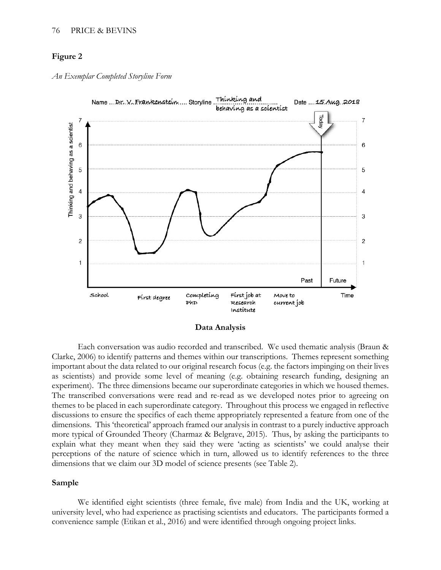*An Exemplar Completed Storyline Form*



**Data Analysis**

Each conversation was audio recorded and transcribed. We used thematic analysis (Braun & Clarke, 2006) to identify patterns and themes within our transcriptions. Themes represent something important about the data related to our original research focus (e.g. the factors impinging on their lives as scientists) and provide some level of meaning (e.g. obtaining research funding, designing an experiment). The three dimensions became our superordinate categories in which we housed themes. The transcribed conversations were read and re-read as we developed notes prior to agreeing on themes to be placed in each superordinate category. Throughout this process we engaged in reflective discussions to ensure the specifics of each theme appropriately represented a feature from one of the dimensions. This 'theoretical' approach framed our analysis in contrast to a purely inductive approach more typical of Grounded Theory (Charmaz & Belgrave, 2015). Thus, by asking the participants to explain what they meant when they said they were 'acting as scientists' we could analyse their perceptions of the nature of science which in turn, allowed us to identify references to the three dimensions that we claim our 3D model of science presents (see Table 2).

### **Sample**

We identified eight scientists (three female, five male) from India and the UK, working at university level, who had experience as practising scientists and educators. The participants formed a convenience sample (Etikan et al., 2016) and were identified through ongoing project links.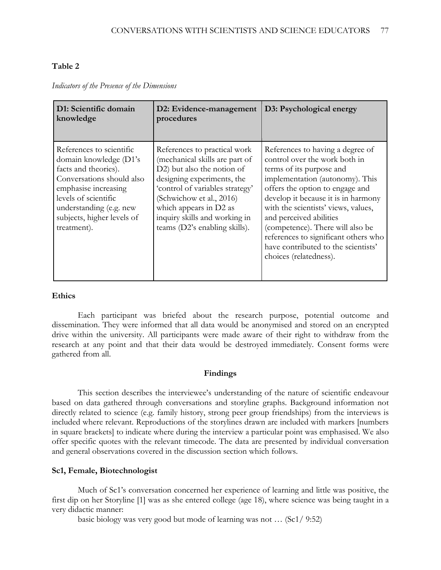## **Table 2**

| D1: Scientific domain<br>knowledge                                                                                                                                                                                              | D2: Evidence-management<br>procedures                                                                                                                                                                                                                                                 | D3: Psychological energy                                                                                                                                                                                                                                                                                                                                                                                                  |
|---------------------------------------------------------------------------------------------------------------------------------------------------------------------------------------------------------------------------------|---------------------------------------------------------------------------------------------------------------------------------------------------------------------------------------------------------------------------------------------------------------------------------------|---------------------------------------------------------------------------------------------------------------------------------------------------------------------------------------------------------------------------------------------------------------------------------------------------------------------------------------------------------------------------------------------------------------------------|
| References to scientific<br>domain knowledge (D1's<br>facts and theories).<br>Conversations should also<br>emphasise increasing<br>levels of scientific<br>understanding (e.g. new<br>subjects, higher levels of<br>treatment). | References to practical work<br>(mechanical skills are part of<br>D2) but also the notion of<br>designing experiments, the<br>'control of variables strategy'<br>(Schwichow et al., 2016)<br>which appears in D2 as<br>inquiry skills and working in<br>teams (D2's enabling skills). | References to having a degree of<br>control over the work both in<br>terms of its purpose and<br>implementation (autonomy). This<br>offers the option to engage and<br>develop it because it is in harmony<br>with the scientists' views, values,<br>and perceived abilities<br>(competence). There will also be<br>references to significant others who<br>have contributed to the scientists'<br>choices (relatedness). |

*Indicators of the Presence of the Dimensions*

## **Ethics**

Each participant was briefed about the research purpose, potential outcome and dissemination. They were informed that all data would be anonymised and stored on an encrypted drive within the university. All participants were made aware of their right to withdraw from the research at any point and that their data would be destroyed immediately. Consent forms were gathered from all.

## **Findings**

This section describes the interviewee's understanding of the nature of scientific endeavour based on data gathered through conversations and storyline graphs. Background information not directly related to science (e.g. family history, strong peer group friendships) from the interviews is included where relevant. Reproductions of the storylines drawn are included with markers [numbers in square brackets] to indicate where during the interview a particular point was emphasised. We also offer specific quotes with the relevant timecode. The data are presented by individual conversation and general observations covered in the discussion section which follows.

## **Sc1, Female, Biotechnologist**

Much of Sc1's conversation concerned her experience of learning and little was positive, the first dip on her Storyline [1] was as she entered college (age 18), where science was being taught in a very didactic manner:

basic biology was very good but mode of learning was not … (Sc1/ 9:52)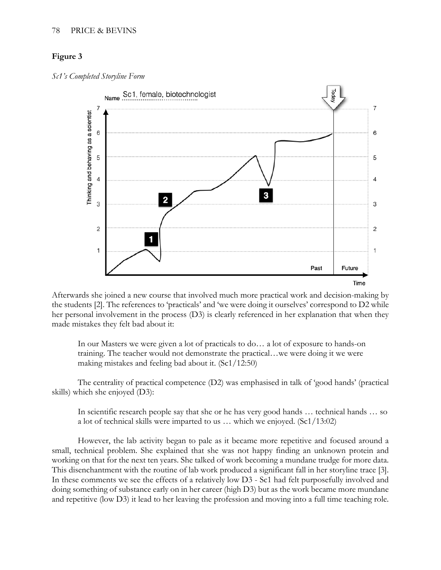*Sc1's Completed Storyline Form*



Afterwards she joined a new course that involved much more practical work and decision-making by the students [2]. The references to 'practicals' and 'we were doing it ourselves' correspond to D2 while her personal involvement in the process (D3) is clearly referenced in her explanation that when they made mistakes they felt bad about it:

In our Masters we were given a lot of practicals to do… a lot of exposure to hands-on training. The teacher would not demonstrate the practical…we were doing it we were making mistakes and feeling bad about it. (Sc1/12:50)

The centrality of practical competence (D2) was emphasised in talk of 'good hands' (practical skills) which she enjoyed (D3):

In scientific research people say that she or he has very good hands … technical hands … so a lot of technical skills were imparted to us … which we enjoyed. (Sc1/13:02)

However, the lab activity began to pale as it became more repetitive and focused around a small, technical problem. She explained that she was not happy finding an unknown protein and working on that for the next ten years. She talked of work becoming a mundane trudge for more data. This disenchantment with the routine of lab work produced a significant fall in her storyline trace [3]. In these comments we see the effects of a relatively low D3 - Sc1 had felt purposefully involved and doing something of substance early on in her career (high D3) but as the work became more mundane and repetitive (low D3) it lead to her leaving the profession and moving into a full time teaching role.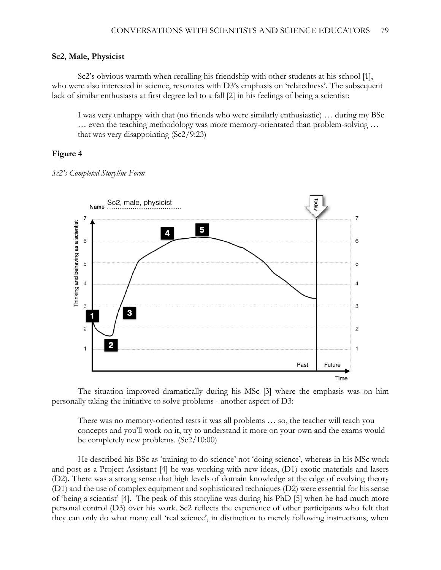### **Sc2, Male, Physicist**

Sc2's obvious warmth when recalling his friendship with other students at his school [1], who were also interested in science, resonates with D3's emphasis on 'relatedness'. The subsequent lack of similar enthusiasts at first degree led to a fall [2] in his feelings of being a scientist:

I was very unhappy with that (no friends who were similarly enthusiastic) … during my BSc … even the teaching methodology was more memory-orientated than problem-solving … that was very disappointing (Sc2/9:23)

### **Figure 4**

*Sc2's Completed Storyline Form*



The situation improved dramatically during his MSc [3] where the emphasis was on him personally taking the initiative to solve problems - another aspect of D3:

There was no memory-oriented tests it was all problems … so, the teacher will teach you concepts and you'll work on it, try to understand it more on your own and the exams would be completely new problems. (Sc2/10:00)

He described his BSc as 'training to do science' not 'doing science', whereas in his MSc work and post as a Project Assistant [4] he was working with new ideas, (D1) exotic materials and lasers (D2). There was a strong sense that high levels of domain knowledge at the edge of evolving theory (D1) and the use of complex equipment and sophisticated techniques (D2) were essential for his sense of 'being a scientist' [4]. The peak of this storyline was during his PhD [5] when he had much more personal control (D3) over his work. Sc2 reflects the experience of other participants who felt that they can only do what many call 'real science', in distinction to merely following instructions, when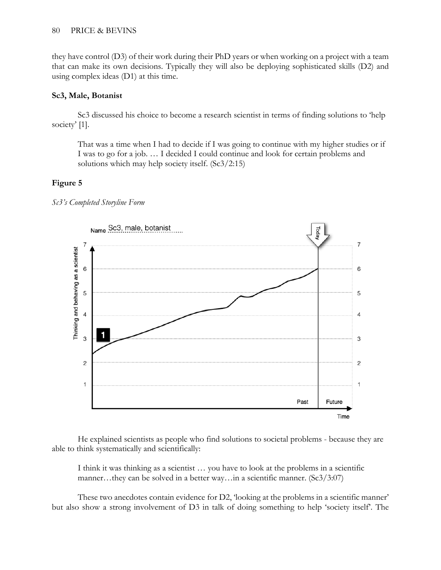they have control (D3) of their work during their PhD years or when working on a project with a team that can make its own decisions. Typically they will also be deploying sophisticated skills (D2) and using complex ideas (D1) at this time.

## **Sc3, Male, Botanist**

Sc3 discussed his choice to become a research scientist in terms of finding solutions to 'help society' [1].

That was a time when I had to decide if I was going to continue with my higher studies or if I was to go for a job. … I decided I could continue and look for certain problems and solutions which may help society itself. (Sc3/2:15)

## **Figure 5**





He explained scientists as people who find solutions to societal problems - because they are able to think systematically and scientifically:

I think it was thinking as a scientist … you have to look at the problems in a scientific manner…they can be solved in a better way…in a scientific manner. (Sc3/3:07)

These two anecdotes contain evidence for D2, 'looking at the problems in a scientific manner' but also show a strong involvement of D3 in talk of doing something to help 'society itself'. The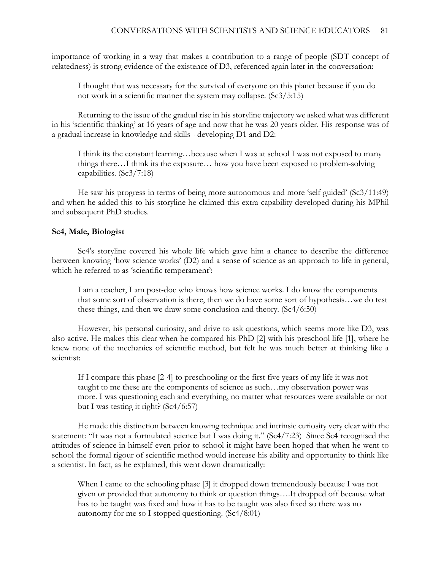importance of working in a way that makes a contribution to a range of people (SDT concept of relatedness) is strong evidence of the existence of D3, referenced again later in the conversation:

I thought that was necessary for the survival of everyone on this planet because if you do not work in a scientific manner the system may collapse. (Sc3/5:15)

Returning to the issue of the gradual rise in his storyline trajectory we asked what was different in his 'scientific thinking' at 16 years of age and now that he was 20 years older. His response was of a gradual increase in knowledge and skills - developing D1 and D2:

I think its the constant learning…because when I was at school I was not exposed to many things there…I think its the exposure… how you have been exposed to problem-solving capabilities. (Sc3/7:18)

He saw his progress in terms of being more autonomous and more 'self guided' (Sc3/11:49) and when he added this to his storyline he claimed this extra capability developed during his MPhil and subsequent PhD studies.

### **Sc4, Male, Biologist**

Sc4's storyline covered his whole life which gave him a chance to describe the difference between knowing 'how science works' (D2) and a sense of science as an approach to life in general, which he referred to as 'scientific temperament':

I am a teacher, I am post-doc who knows how science works. I do know the components that some sort of observation is there, then we do have some sort of hypothesis…we do test these things, and then we draw some conclusion and theory. (Sc4/6:50)

However, his personal curiosity, and drive to ask questions, which seems more like D3, was also active. He makes this clear when he compared his PhD [2] with his preschool life [1], where he knew none of the mechanics of scientific method, but felt he was much better at thinking like a scientist:

If I compare this phase [2-4] to preschooling or the first five years of my life it was not taught to me these are the components of science as such…my observation power was more. I was questioning each and everything, no matter what resources were available or not but I was testing it right? (Sc4/6:57)

He made this distinction between knowing technique and intrinsic curiosity very clear with the statement: "It was not a formulated science but I was doing it." (Sc4/7:23) Since Sc4 recognised the attitudes of science in himself even prior to school it might have been hoped that when he went to school the formal rigour of scientific method would increase his ability and opportunity to think like a scientist. In fact, as he explained, this went down dramatically:

When I came to the schooling phase [3] it dropped down tremendously because I was not given or provided that autonomy to think or question things….It dropped off because what has to be taught was fixed and how it has to be taught was also fixed so there was no autonomy for me so I stopped questioning. (Sc4/8:01)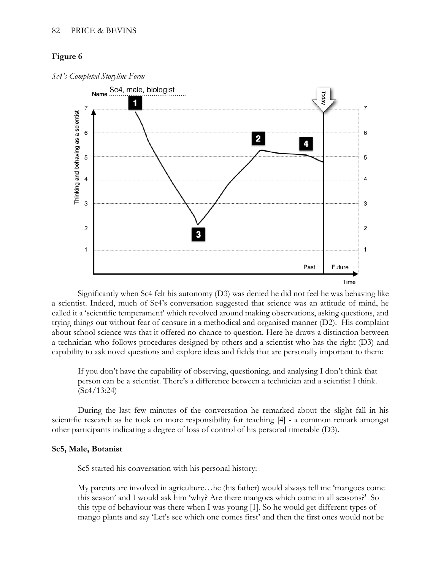

*Sc4's Completed Storyline Form*

**Time**<br>Significantly when Sc4 felt his autonomy (D3) was denied he did not feel he was behaving like a scientist. Indeed, much of Sc4's conversation suggested that science was an attitude of mind, he called it a 'scientific temperament' which revolved around making observations, asking questions, and trying things out without fear of censure in a methodical and organised manner (D2). His complaint about school science was that it offered no chance to question. Here he draws a distinction between a technician who follows procedures designed by others and a scientist who has the right (D3) and capability to ask novel questions and explore ideas and fields that are personally important to them:

If you don't have the capability of observing, questioning, and analysing I don't think that person can be a scientist. There's a difference between a technician and a scientist I think. (Sc4/13:24)

During the last few minutes of the conversation he remarked about the slight fall in his scientific research as he took on more responsibility for teaching [4] - a common remark amongst other participants indicating a degree of loss of control of his personal timetable (D3).

### **Sc5, Male, Botanist**

Sc5 started his conversation with his personal history:

My parents are involved in agriculture…he (his father) would always tell me 'mangoes come this season' and I would ask him 'why? Are there mangoes which come in all seasons?' So this type of behaviour was there when I was young [1]. So he would get different types of mango plants and say 'Let's see which one comes first' and then the first ones would not be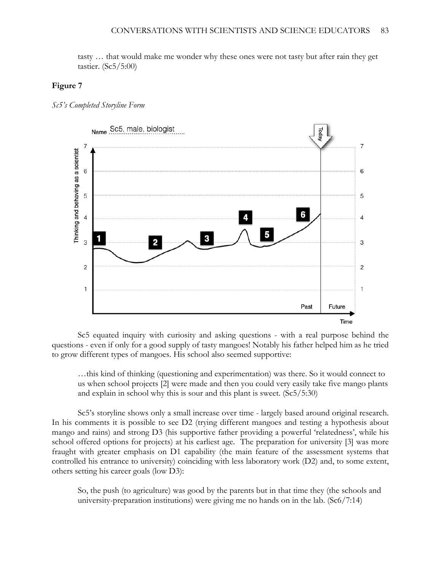tasty … that would make me wonder why these ones were not tasty but after rain they get tastier. (Sc5/5:00)

### **Figure 7**





Sc5 equated inquiry with curiosity and asking questions - with a real purpose behind the questions - even if only for a good supply of tasty mangoes! Notably his father helped him as he tried to grow different types of mangoes. His school also seemed supportive:

…this kind of thinking (questioning and experimentation) was there. So it would connect to us when school projects [2] were made and then you could very easily take five mango plants and explain in school why this is sour and this plant is sweet. (Sc5/5:30)

Sc5's storyline shows only a small increase over time - largely based around original research. In his comments it is possible to see D2 (trying different mangoes and testing a hypothesis about mango and rains) and strong D3 (his supportive father providing a powerful 'relatedness', while his school offered options for projects) at his earliest age. The preparation for university [3] was more fraught with greater emphasis on D1 capability (the main feature of the assessment systems that controlled his entrance to university) coinciding with less laboratory work (D2) and, to some extent, others setting his career goals (low D3):

So, the push (to agriculture) was good by the parents but in that time they (the schools and university-preparation institutions) were giving me no hands on in the lab. (Sc6/7:14)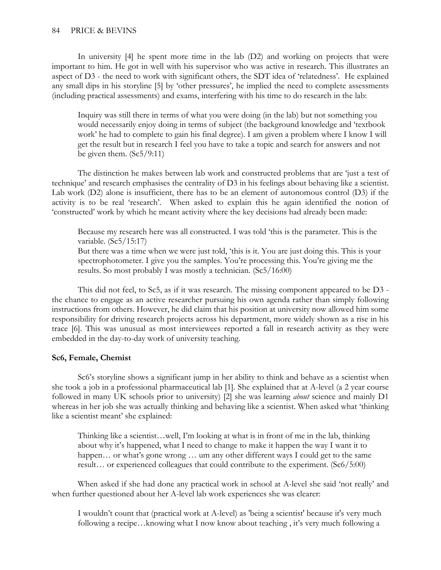### 84 PRICE & BEVINS

In university [4] he spent more time in the lab (D2) and working on projects that were important to him. He got in well with his supervisor who was active in research. This illustrates an aspect of D3 - the need to work with significant others, the SDT idea of 'relatedness'. He explained any small dips in his storyline [5] by 'other pressures', he implied the need to complete assessments (including practical assessments) and exams, interfering with his time to do research in the lab:

Inquiry was still there in terms of what you were doing (in the lab) but not something you would necessarily enjoy doing in terms of subject (the background knowledge and 'textbook work' he had to complete to gain his final degree). I am given a problem where I know I will get the result but in research I feel you have to take a topic and search for answers and not be given them. (Sc5/9:11)

The distinction he makes between lab work and constructed problems that are 'just a test of technique' and research emphasises the centrality of D3 in his feelings about behaving like a scientist. Lab work (D2) alone is insufficient, there has to be an element of autonomous control (D3) if the activity is to be real 'research'. When asked to explain this he again identified the notion of 'constructed' work by which he meant activity where the key decisions had already been made:

Because my research here was all constructed. I was told 'this is the parameter. This is the variable. (Sc5/15:17) But there was a time when we were just told, 'this is it. You are just doing this. This is your spectrophotometer. I give you the samples. You're processing this. You're giving me the results. So most probably I was mostly a technician. (Sc5/16:00)

This did not feel, to Sc5, as if it was research. The missing component appeared to be D3 the chance to engage as an active researcher pursuing his own agenda rather than simply following instructions from others. However, he did claim that his position at university now allowed him some responsibility for driving research projects across his department, more widely shown as a rise in his trace [6]. This was unusual as most interviewees reported a fall in research activity as they were embedded in the day-to-day work of university teaching.

### **Sc6, Female, Chemist**

Sc6's storyline shows a significant jump in her ability to think and behave as a scientist when she took a job in a professional pharmaceutical lab [1]. She explained that at A-level (a 2 year course followed in many UK schools prior to university) [2] she was learning *about* science and mainly D1 whereas in her job she was actually thinking and behaving like a scientist. When asked what 'thinking like a scientist meant' she explained:

Thinking like a scientist…well, I'm looking at what is in front of me in the lab, thinking about why it's happened, what I need to change to make it happen the way I want it to happen... or what's gone wrong ... um any other different ways I could get to the same result… or experienced colleagues that could contribute to the experiment. (Sc6/5:00)

When asked if she had done any practical work in school at A-level she said 'not really' and when further questioned about her A-level lab work experiences she was clearer:

I wouldn't count that (practical work at A-level) as 'being a scientist' because it's very much following a recipe…knowing what I now know about teaching , it's very much following a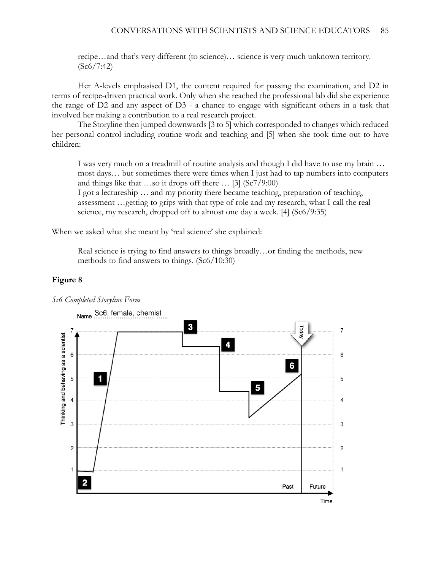recipe…and that's very different (to science)… science is very much unknown territory. (Sc6/7:42)

Her A-levels emphasised D1, the content required for passing the examination, and D2 in terms of recipe-driven practical work. Only when she reached the professional lab did she experience the range of D2 and any aspect of D3 - a chance to engage with significant others in a task that involved her making a contribution to a real research project.

The Storyline then jumped downwards [3 to 5] which corresponded to changes which reduced her personal control including routine work and teaching and [5] when she took time out to have children:

I was very much on a treadmill of routine analysis and though I did have to use my brain … most days… but sometimes there were times when I just had to tap numbers into computers and things like that …so it drops off there  $\ldots$  [3] (Sc7/9:00)

I got a lectureship … and my priority there became teaching, preparation of teaching, assessment …getting to grips with that type of role and my research, what I call the real science, my research, dropped off to almost one day a week. [4] (Sc6/9:35)

When we asked what she meant by 'real science' she explained:

Real science is trying to find answers to things broadly…or finding the methods, new methods to find answers to things. (Sc6/10:30)

#### **Figure 8**



*Sc6 Completed Storyline Form*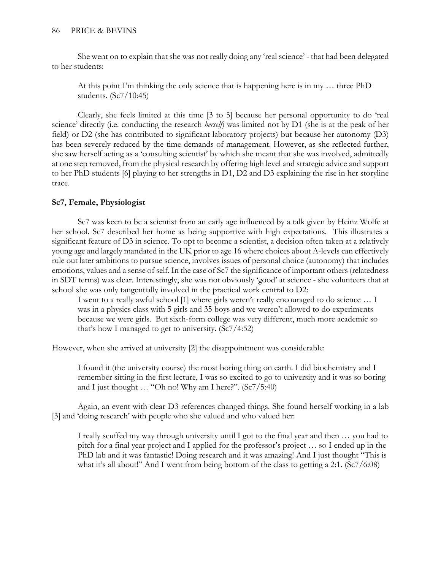She went on to explain that she was not really doing any 'real science' - that had been delegated to her students:

At this point I'm thinking the only science that is happening here is in my … three PhD students. (Sc7/10:45)

Clearly, she feels limited at this time [3 to 5] because her personal opportunity to do 'real science' directly (i.e. conducting the research *herself*) was limited not by D1 (she is at the peak of her field) or D2 (she has contributed to significant laboratory projects) but because her autonomy (D3) has been severely reduced by the time demands of management. However, as she reflected further, she saw herself acting as a 'consulting scientist' by which she meant that she was involved, admittedly at one step removed, from the physical research by offering high level and strategic advice and support to her PhD students [6] playing to her strengths in D1, D2 and D3 explaining the rise in her storyline trace.

## **Sc7, Female, Physiologist**

Sc7 was keen to be a scientist from an early age influenced by a talk given by Heinz Wolfe at her school. Sc7 described her home as being supportive with high expectations. This illustrates a significant feature of D3 in science. To opt to become a scientist, a decision often taken at a relatively young age and largely mandated in the UK prior to age 16 where choices about A-levels can effectively rule out later ambitions to pursue science, involves issues of personal choice (autonomy) that includes emotions, values and a sense of self. In the case of Sc7 the significance of important others (relatedness in SDT terms) was clear. Interestingly, she was not obviously 'good' at science - she volunteers that at school she was only tangentially involved in the practical work central to D2:

I went to a really awful school [1] where girls weren't really encouraged to do science … I was in a physics class with 5 girls and 35 boys and we weren't allowed to do experiments because we were girls. But sixth-form college was very different, much more academic so that's how I managed to get to university. (Sc7/4:52)

However, when she arrived at university [2] the disappointment was considerable:

I found it (the university course) the most boring thing on earth. I did biochemistry and I remember sitting in the first lecture, I was so excited to go to university and it was so boring and I just thought … "Oh no! Why am I here?". (Sc7/5:40)

Again, an event with clear D3 references changed things. She found herself working in a lab [3] and 'doing research' with people who she valued and who valued her:

I really scuffed my way through university until I got to the final year and then … you had to pitch for a final year project and I applied for the professor's project … so I ended up in the PhD lab and it was fantastic! Doing research and it was amazing! And I just thought "This is what it's all about!" And I went from being bottom of the class to getting a 2:1. (Sc7/6:08)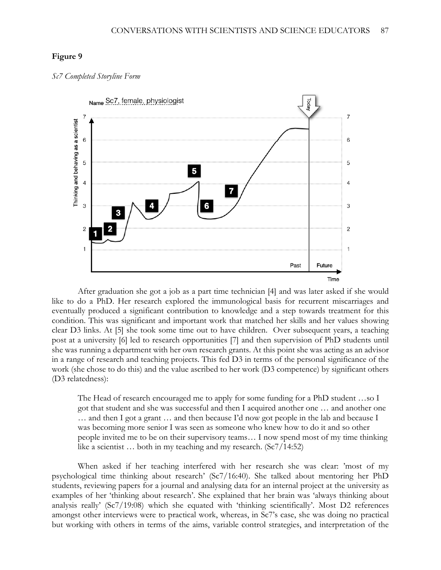



After graduation she got a job as a part time technician [4] and was later asked if she would like to do a PhD. Her research explored the immunological basis for recurrent miscarriages and eventually produced a significant contribution to knowledge and a step towards treatment for this condition. This was significant and important work that matched her skills and her values showing clear D3 links. At [5] she took some time out to have children. Over subsequent years, a teaching post at a university [6] led to research opportunities [7] and then supervision of PhD students until she was running a department with her own research grants. At this point she was acting as an advisor in a range of research and teaching projects. This fed D3 in terms of the personal significance of the work (she chose to do this) and the value ascribed to her work (D3 competence) by significant others (D3 relatedness):

The Head of research encouraged me to apply for some funding for a PhD student …so I got that student and she was successful and then I acquired another one … and another one … and then I got a grant … and then because I'd now got people in the lab and because I was becoming more senior I was seen as someone who knew how to do it and so other people invited me to be on their supervisory teams… I now spend most of my time thinking like a scientist … both in my teaching and my research. (Sc7/14:52)

When asked if her teaching interfered with her research she was clear: 'most of my psychological time thinking about research' (Sc7/16:40). She talked about mentoring her PhD students, reviewing papers for a journal and analysing data for an internal project at the university as examples of her 'thinking about research'. She explained that her brain was 'always thinking about analysis really' (Sc7/19:08) which she equated with 'thinking scientifically'. Most D2 references amongst other interviews were to practical work, whereas, in Sc7's case, she was doing no practical but working with others in terms of the aims, variable control strategies, and interpretation of the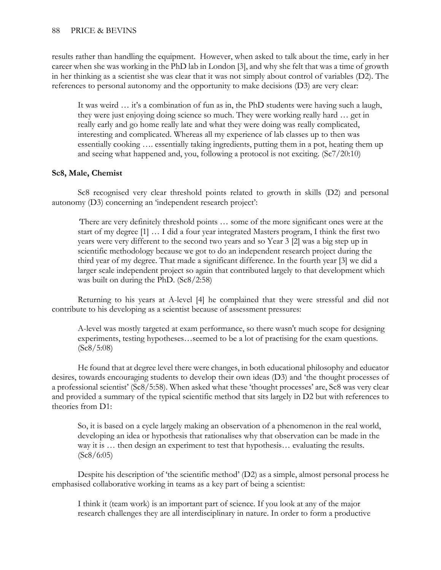results rather than handling the equipment. However, when asked to talk about the time, early in her career when she was working in the PhD lab in London [3], and why she felt that was a time of growth in her thinking as a scientist she was clear that it was not simply about control of variables (D2). The references to personal autonomy and the opportunity to make decisions (D3) are very clear:

It was weird … it's a combination of fun as in, the PhD students were having such a laugh, they were just enjoying doing science so much. They were working really hard … get in really early and go home really late and what they were doing was really complicated, interesting and complicated. Whereas all my experience of lab classes up to then was essentially cooking …. essentially taking ingredients, putting them in a pot, heating them up and seeing what happened and, you, following a protocol is not exciting. (Sc7/20:10)

## **Sc8, Male, Chemist**

Sc8 recognised very clear threshold points related to growth in skills (D2) and personal autonomy (D3) concerning an 'independent research project':

*'*There are very definitely threshold points … some of the more significant ones were at the start of my degree [1] … I did a four year integrated Masters program, I think the first two years were very different to the second two years and so Year 3 [2] was a big step up in scientific methodology because we got to do an independent research project during the third year of my degree. That made a significant difference. In the fourth year [3] we did a larger scale independent project so again that contributed largely to that development which was built on during the PhD. (Sc8/2:58)

Returning to his years at A-level [4] he complained that they were stressful and did not contribute to his developing as a scientist because of assessment pressures:

A-level was mostly targeted at exam performance, so there wasn't much scope for designing experiments, testing hypotheses…seemed to be a lot of practising for the exam questions. (Sc8/5:08)

He found that at degree level there were changes, in both educational philosophy and educator desires, towards encouraging students to develop their own ideas (D3) and 'the thought processes of a professional scientist' (Sc8/5:58). When asked what these 'thought processes' are, Sc8 was very clear and provided a summary of the typical scientific method that sits largely in D2 but with references to theories from D1:

So, it is based on a cycle largely making an observation of a phenomenon in the real world, developing an idea or hypothesis that rationalises why that observation can be made in the way it is … then design an experiment to test that hypothesis… evaluating the results.  $(Sc8/6:05)$ 

Despite his description of 'the scientific method' (D2) as a simple, almost personal process he emphasised collaborative working in teams as a key part of being a scientist:

I think it (team work) is an important part of science. If you look at any of the major research challenges they are all interdisciplinary in nature. In order to form a productive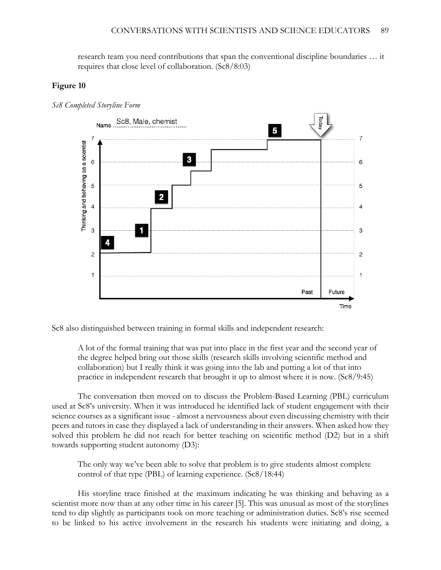research team you need contributions that span the conventional discipline boundaries … it requires that close level of collaboration. (Sc8/8:03)

### **Figure 10**



*Sc8 Completed Storyline Form*

Sc8 also distinguished between training in formal skills and independent research:

A lot of the formal training that was put into place in the first year and the second year of the degree helped bring out those skills (research skills involving scientific method and collaboration) but I really think it was going into the lab and putting a lot of that into practice in independent research that brought it up to almost where it is now. (Sc8/9:45)

The conversation then moved on to discuss the Problem-Based Learning (PBL) curriculum used at Sc8's university. When it was introduced he identified lack of student engagement with their science courses as a significant issue - almost a nervousness about even discussing chemistry with their peers and tutors in case they displayed a lack of understanding in their answers. When asked how they solved this problem he did not reach for better teaching on scientific method (D2) but in a shift towards supporting student autonomy (D3):

The only way we've been able to solve that problem is to give students almost complete control of that type (PBL) of learning experience. (Sc8/18:44)

His storyline trace finished at the maximum indicating he was thinking and behaving as a scientist more now than at any other time in his career [5]. This was unusual as most of the storylines tend to dip slightly as participants took on more teaching or administration duties. Sc8's rise seemed to be linked to his active involvement in the research his students were initiating and doing, a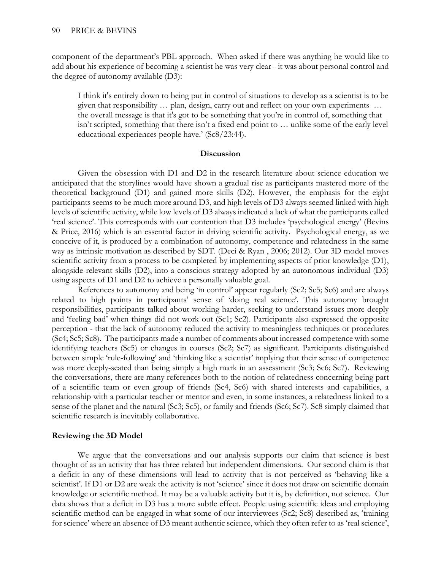component of the department's PBL approach. When asked if there was anything he would like to add about his experience of becoming a scientist he was very clear - it was about personal control and the degree of autonomy available (D3):

I think it's entirely down to being put in control of situations to develop as a scientist is to be given that responsibility … plan, design, carry out and reflect on your own experiments … the overall message is that it's got to be something that you're in control of, something that isn't scripted, something that there isn't a fixed end point to … unlike some of the early level educational experiences people have.' (Sc8/23:44).

### **Discussion**

Given the obsession with D1 and D2 in the research literature about science education we anticipated that the storylines would have shown a gradual rise as participants mastered more of the theoretical background (D1) and gained more skills (D2). However, the emphasis for the eight participants seems to be much more around D3, and high levels of D3 always seemed linked with high levels of scientific activity, while low levels of D3 always indicated a lack of what the participants called 'real science'. This corresponds with our contention that D3 includes 'psychological energy' (Bevins & Price, 2016) which is an essential factor in driving scientific activity. Psychological energy, as we conceive of it, is produced by a combination of autonomy, competence and relatedness in the same way as intrinsic motivation as described by SDT. (Deci & Ryan , 2006; 2012). Our 3D model moves scientific activity from a process to be completed by implementing aspects of prior knowledge (D1), alongside relevant skills (D2), into a conscious strategy adopted by an autonomous individual (D3) using aspects of D1 and D2 to achieve a personally valuable goal.

References to autonomy and being 'in control' appear regularly (Sc2; Sc5; Sc6) and are always related to high points in participants' sense of 'doing real science'. This autonomy brought responsibilities, participants talked about working harder, seeking to understand issues more deeply and 'feeling bad' when things did not work out (Sc1; Sc2). Participants also expressed the opposite perception - that the lack of autonomy reduced the activity to meaningless techniques or procedures (Sc4; Sc5; Sc8). The participants made a number of comments about increased competence with some identifying teachers (Sc5) or changes in courses (Sc2; Sc7) as significant. Participants distinguished between simple 'rule-following' and 'thinking like a scientist' implying that their sense of competence was more deeply-seated than being simply a high mark in an assessment (Sc3; Sc6; Sc7). Reviewing the conversations, there are many references both to the notion of relatedness concerning being part of a scientific team or even group of friends (Sc4, Sc6) with shared interests and capabilities, a relationship with a particular teacher or mentor and even, in some instances, a relatedness linked to a sense of the planet and the natural (Sc3; Sc5), or family and friends (Sc6; Sc7). Sc8 simply claimed that scientific research is inevitably collaborative.

### **Reviewing the 3D Model**

We argue that the conversations and our analysis supports our claim that science is best thought of as an activity that has three related but independent dimensions. Our second claim is that a deficit in any of these dimensions will lead to activity that is not perceived as 'behaving like a scientist'. If D1 or D2 are weak the activity is not 'science' since it does not draw on scientific domain knowledge or scientific method. It may be a valuable activity but it is, by definition, not science. Our data shows that a deficit in D3 has a more subtle effect. People using scientific ideas and employing scientific method can be engaged in what some of our interviewees (Sc2; Sc8) described as, 'training for science' where an absence of D3 meant authentic science, which they often refer to as 'real science',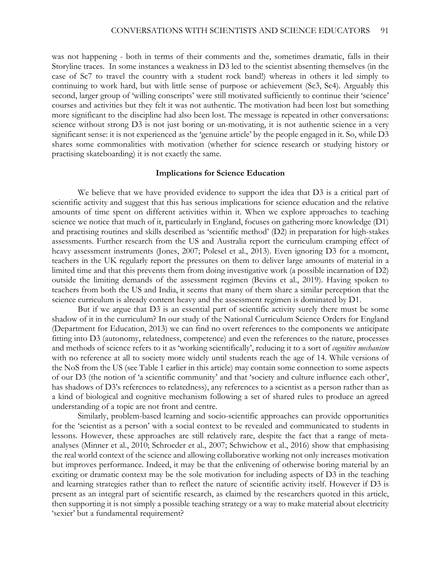was not happening - both in terms of their comments and the, sometimes dramatic, falls in their Storyline traces. In some instances a weakness in D3 led to the scientist absenting themselves (in the case of Sc7 to travel the country with a student rock band!) whereas in others it led simply to continuing to work hard, but with little sense of purpose or achievement (Sc3, Sc4). Arguably this second, larger group of 'willing conscripts' were still motivated sufficiently to continue their 'science' courses and activities but they felt it was not authentic. The motivation had been lost but something more significant to the discipline had also been lost. The message is repeated in other conversations: science without strong D3 is not just boring or un-motivating, it is not authentic science in a very significant sense: it is not experienced as the 'genuine article' by the people engaged in it. So, while D3 shares some commonalities with motivation (whether for science research or studying history or practising skateboarding) it is not exactly the same.

#### **Implications for Science Education**

We believe that we have provided evidence to support the idea that D3 is a critical part of scientific activity and suggest that this has serious implications for science education and the relative amounts of time spent on different activities within it. When we explore approaches to teaching science we notice that much of it, particularly in England, focuses on gathering more knowledge (D1) and practising routines and skills described as 'scientific method' (D2) in preparation for high-stakes assessments. Further research from the US and Australia report the curriculum cramping effect of heavy assessment instruments (Jones, 2007; Polesel et al., 2013). Even ignoring D3 for a moment, teachers in the UK regularly report the pressures on them to deliver large amounts of material in a limited time and that this prevents them from doing investigative work (a possible incarnation of D2) outside the limiting demands of the assessment regimen (Bevins et al., 2019). Having spoken to teachers from both the US and India, it seems that many of them share a similar perception that the science curriculum is already content heavy and the assessment regimen is dominated by D1.

But if we argue that D3 is an essential part of scientific activity surely there must be some shadow of it in the curriculum? In our study of the National Curriculum Science Orders for England (Department for Education, 2013) we can find no overt references to the components we anticipate fitting into D3 (autonomy, relatedness, competence) and even the references to the nature, processes and methods of science refers to it as 'working scientifically', reducing it to a sort of *cognitive mechanism* with no reference at all to society more widely until students reach the age of 14. While versions of the NoS from the US (see Table 1 earlier in this article) may contain some connection to some aspects of our D3 (the notion of 'a scientific community' and that 'society and culture influence each other', has shadows of D3's references to relatedness), any references to a scientist as a person rather than as a kind of biological and cognitive mechanism following a set of shared rules to produce an agreed understanding of a topic are not front and centre.

Similarly, problem-based learning and socio-scientific approaches can provide opportunities for the 'scientist as a person' with a social context to be revealed and communicated to students in lessons. However, these approaches are still relatively rare, despite the fact that a range of metaanalyses (Minner et al., 2010; Schroeder et al., 2007; Schwichow et al., 2016) show that emphasising the real world context of the science and allowing collaborative working not only increases motivation but improves performance. Indeed, it may be that the enlivening of otherwise boring material by an exciting or dramatic context may be the sole motivation for including aspects of D3 in the teaching and learning strategies rather than to reflect the nature of scientific activity itself. However if D3 is present as an integral part of scientific research, as claimed by the researchers quoted in this article, then supporting it is not simply a possible teaching strategy or a way to make material about electricity 'sexier' but a fundamental requirement?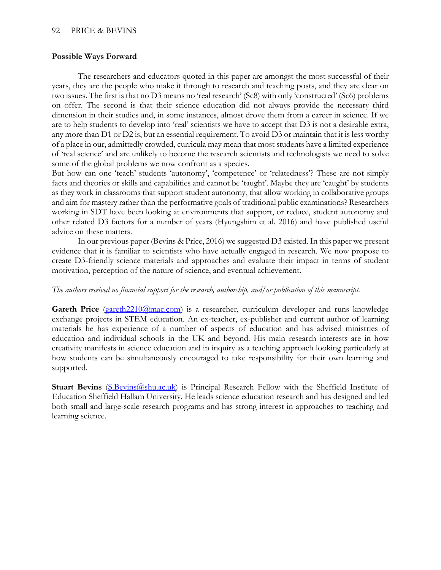### 92 PRICE & BEVINS

### **Possible Ways Forward**

The researchers and educators quoted in this paper are amongst the most successful of their years, they are the people who make it through to research and teaching posts, and they are clear on two issues. The first is that no D3 means no 'real research' (Sc8) with only 'constructed' (Sc6) problems on offer. The second is that their science education did not always provide the necessary third dimension in their studies and, in some instances, almost drove them from a career in science. If we are to help students to develop into 'real' scientists we have to accept that D3 is not a desirable extra, any more than D1 or D2 is, but an essential requirement. To avoid D3 or maintain that it is less worthy of a place in our, admittedly crowded, curricula may mean that most students have a limited experience of 'real science' and are unlikely to become the research scientists and technologists we need to solve some of the global problems we now confront as a species.

But how can one 'teach' students 'autonomy', 'competence' or 'relatedness'? These are not simply facts and theories or skills and capabilities and cannot be 'taught'. Maybe they are 'caught' by students as they work in classrooms that support student autonomy, that allow working in collaborative groups and aim for mastery rather than the performative goals of traditional public examinations? Researchers working in SDT have been looking at environments that support, or reduce, student autonomy and other related D3 factors for a number of years (Hyungshim et al. 2016) and have published useful advice on these matters.

In our previous paper (Bevins & Price, 2016) we suggested D3 existed. In this paper we present evidence that it is familiar to scientists who have actually engaged in research. We now propose to create D3-friendly science materials and approaches and evaluate their impact in terms of student motivation, perception of the nature of science, and eventual achievement.

### *The authors received no financial support for the research, authorship, and/or publication of this manuscript.*

**Gareth Price** [\(gareth2210@mac.com\)](mailto:gareth2210@mac.com) is a researcher, curriculum developer and runs knowledge exchange projects in STEM education. An ex-teacher, ex-publisher and current author of learning materials he has experience of a number of aspects of education and has advised ministries of education and individual schools in the UK and beyond. His main research interests are in how creativity manifests in science education and in inquiry as a teaching approach looking particularly at how students can be simultaneously encouraged to take responsibility for their own learning and supported.

**Stuart Bevins** (S.Bevins (Q.shu.ac.uk) is Principal Research Fellow with the Sheffield Institute of Education Sheffield Hallam University. He leads science education research and has designed and led both small and large-scale research programs and has strong interest in approaches to teaching and learning science.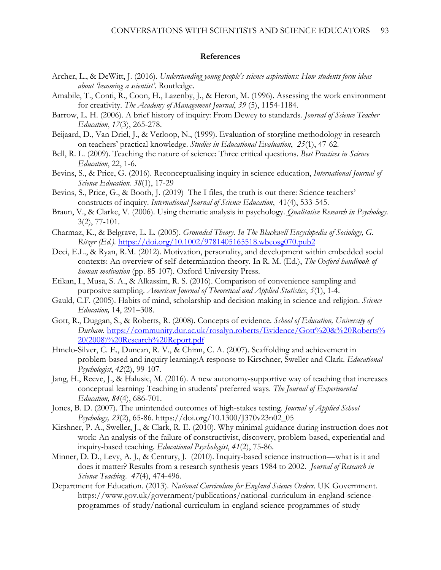#### **References**

- Archer, L., & DeWitt, J. (2016). *Understanding young people's science aspirations: How students form ideas about 'becoming a scientist'*. Routledge.
- Amabile, T., Conti, R., Coon, H., Lazenby, J., & Heron, M. (1996). Assessing the work environment for creativity. *The Academy of Management Journal*, *39* (5), 1154-1184.
- Barrow, L. H. (2006). A brief history of inquiry: From Dewey to standards. *Journal of Science Teacher Education*, *17*(3), 265-278.
- Beijaard, D., Van Driel, J., & Verloop, N., (1999). Evaluation of storyline methodology in research on teachers' practical knowledge. *Studies in Educational Evaluation*, *25*(1), 47-62.
- Bell, R. L. (2009). Teaching the nature of science: Three critical questions. *Best Practices in Science Education*, 22, 1-6.
- Bevins, S., & Price, G. (2016). Reconceptualising inquiry in science education, *International Journal of Science Education. 38*(1), 17-29
- Bevins, S., Price, G., & Booth, J. (2019) The I files, the truth is out there: Science teachers' constructs of inquiry. *International Journal of Science Education*, 41(4), 533-545.
- Braun, V., & Clarke, V. (2006). Using thematic analysis in psychology. *Qualitative Research in Psychology.* 3(2), 77-101.
- Charmaz, K., & Belgrave, L. L. (2005). *Grounded Theory. In The Blackwell Encyclopedia of Sociology, G. Ritzer (Ed.).* <https://doi.org/10.1002/9781405165518.wbeosg070.pub2>
- Deci, E.L., & Ryan, R.M. (2012). Motivation, personality, and development within embedded social contexts: An overview of self-determination theory. In R. M. (Ed.), *The Oxford handbook of human motivation* (pp. 85-107). Oxford University Press.
- Etikan, I., Musa, S. A., & Alkassim, R. S. (2016). Comparison of convenience sampling and purposive sampling. *American Journal of Theoretical and Applied Statistics*, *5*(1), 1-4.
- Gauld, C.F. (2005). Habits of mind, scholarship and decision making in science and religion. *Science Education,* 14, 291–308.
- Gott, R., Duggan, S., & Roberts, R. (2008). Concepts of evidence. *School of Education, University of Durham*. [https://community.dur.ac.uk/rosalyn.roberts/Evidence/Gott%20&%20Roberts%](https://community.dur.ac.uk/rosalyn.roberts/Evidence/Gott%20&%20Roberts%20(2008)%20Research%20Report.pdf)  [20\(2008\)%20Research%20Report.pdf](https://community.dur.ac.uk/rosalyn.roberts/Evidence/Gott%20&%20Roberts%20(2008)%20Research%20Report.pdf)
- Hmelo-Silver, C. E., Duncan, R. V., & Chinn, C. A. (2007). Scaffolding and achievement in problem-based and inquiry learning:A response to Kirschner, Sweller and Clark. *Educational Psychologist*, *42*(2), 99-107.
- Jang, H., Reeve, J., & Halusic, M. (2016). A new autonomy-supportive way of teaching that increases conceptual learning: Teaching in students' preferred ways. *The Journal of Experimental Education, 84*(4), 686-701.
- Jones, B. D. (2007). The unintended outcomes of high-stakes testing. *Journal of Applied School Psychology, 23*(2), 65-86. https://doi.org/10.1300/J370v23n02\_05
- Kirshner, P. A., Sweller, J., & Clark, R. E. (2010). Why minimal guidance during instruction does not work: An analysis of the failure of constructivist, discovery, problem-based, experiential and inquiry-based teaching. *Educational Psychologist*, *41*(2), 75-86.
- Minner, D. D., Levy, A. J., & Century, J. (2010). Inquiry-based science instruction—what is it and does it matter? Results from a research synthesis years 1984 to 2002. *Journal of Research in Science Teaching*. *47*(4), 474-496.
- Department for Education. (2013). *National Curriculum for England Science Orders*. UK Government. https://www.gov.uk/government/publications/national-curriculum-in-england-scienceprogrammes-of-study/national-curriculum-in-england-science-programmes-of-study